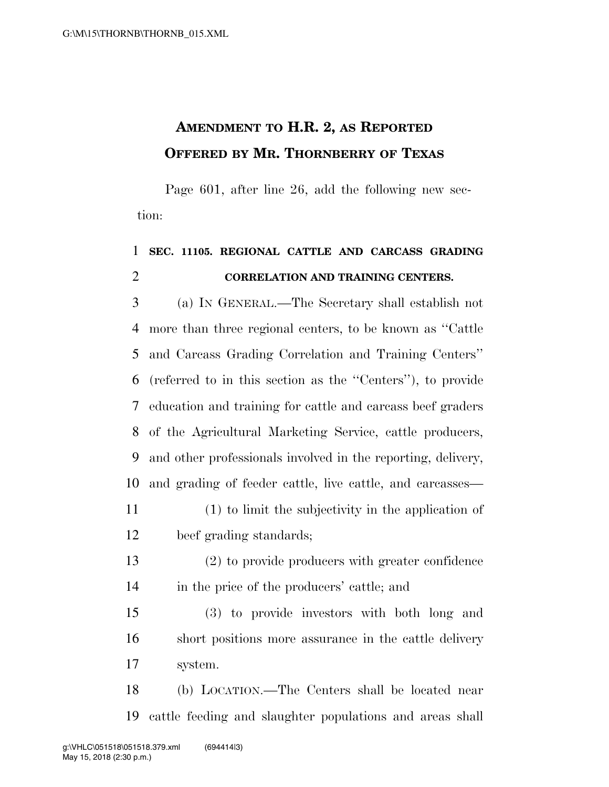## **AMENDMENT TO H.R. 2, AS REPORTED OFFERED BY MR. THORNBERRY OF TEXAS**

Page 601, after line 26, add the following new section:

## **SEC. 11105. REGIONAL CATTLE AND CARCASS GRADING CORRELATION AND TRAINING CENTERS.**

 (a) IN GENERAL.—The Secretary shall establish not more than three regional centers, to be known as ''Cattle and Carcass Grading Correlation and Training Centers'' (referred to in this section as the ''Centers''), to provide education and training for cattle and carcass beef graders of the Agricultural Marketing Service, cattle producers, and other professionals involved in the reporting, delivery, and grading of feeder cattle, live cattle, and carcasses— (1) to limit the subjectivity in the application of

- beef grading standards;
- (2) to provide producers with greater confidence in the price of the producers' cattle; and

 (3) to provide investors with both long and short positions more assurance in the cattle delivery system.

 (b) LOCATION.—The Centers shall be located near cattle feeding and slaughter populations and areas shall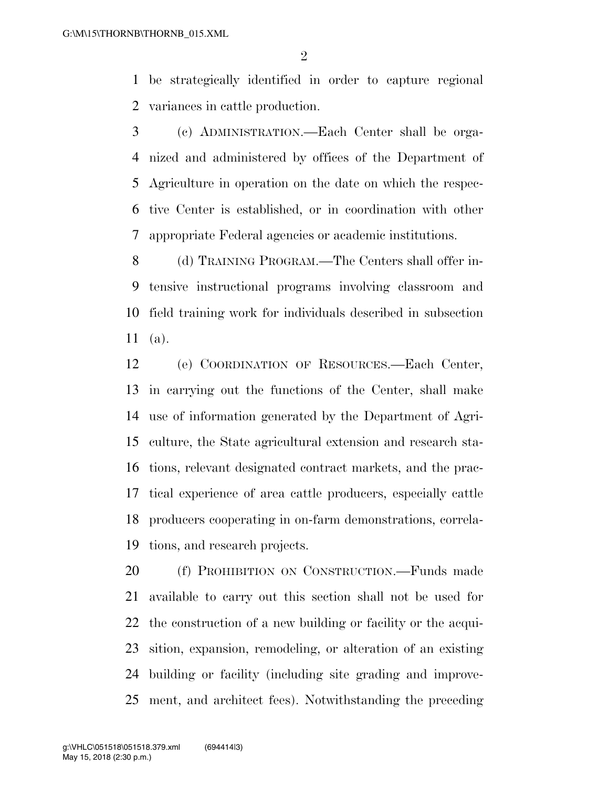be strategically identified in order to capture regional variances in cattle production.

 (c) ADMINISTRATION.—Each Center shall be orga- nized and administered by offices of the Department of Agriculture in operation on the date on which the respec- tive Center is established, or in coordination with other appropriate Federal agencies or academic institutions.

 (d) TRAINING PROGRAM.—The Centers shall offer in- tensive instructional programs involving classroom and field training work for individuals described in subsection (a).

 (e) COORDINATION OF RESOURCES.—Each Center, in carrying out the functions of the Center, shall make use of information generated by the Department of Agri- culture, the State agricultural extension and research sta- tions, relevant designated contract markets, and the prac- tical experience of area cattle producers, especially cattle producers cooperating in on-farm demonstrations, correla-tions, and research projects.

 (f) PROHIBITION ON CONSTRUCTION.—Funds made available to carry out this section shall not be used for the construction of a new building or facility or the acqui- sition, expansion, remodeling, or alteration of an existing building or facility (including site grading and improve-ment, and architect fees). Notwithstanding the preceding